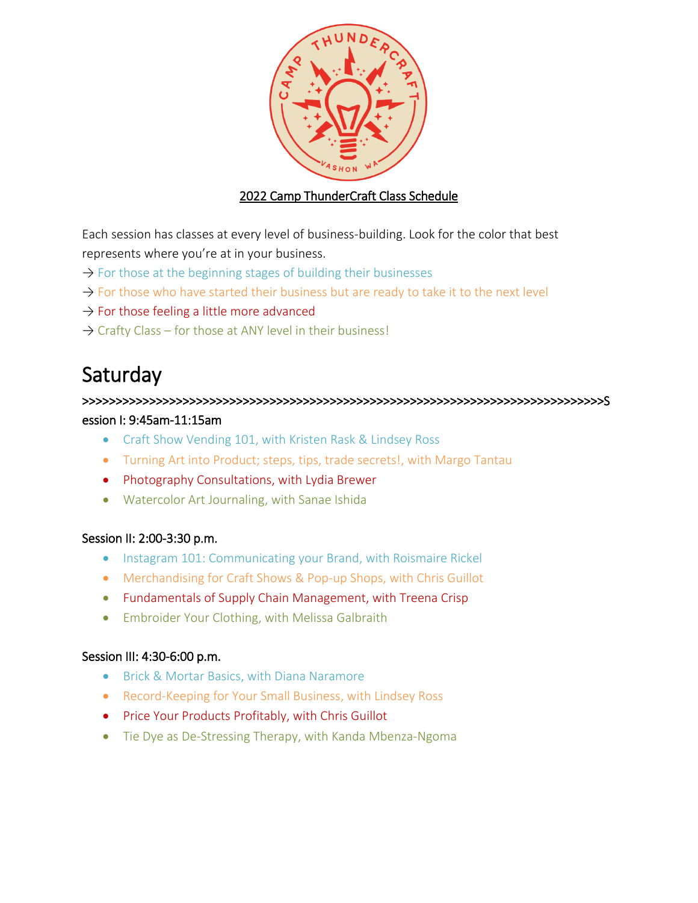

## 2022 Camp ThunderCraft Class Schedule

Each session has classes at every level of business-building. Look for the color that best represents where you're at in your business.

- $\rightarrow$  For those at the beginning stages of building their businesses
- $\rightarrow$  For those who have started their business but are ready to take it to the next level
- $\rightarrow$  For those feeling a little more advanced
- $\rightarrow$  Crafty Class for those at ANY level in their business!

# **Saturday**

>>>>>>>>>>>>>>>>>>>>>>>>>>>>>>>>>>>>>>>>>>>>>>>>>>>>>>>>>>>>>>>>>>>>>>>>>>>>>>S

## ession I: 9:45am-11:15am

- Craft Show Vending 101, with Kristen Rask & Lindsey Ross
- Turning Art into Product; steps, tips, trade secrets!, with Margo Tantau
- Photography Consultations, with Lydia Brewer
- Watercolor Art Journaling, with Sanae Ishida

## Session II: 2:00-3:30 p.m.

- **Instagram 101: Communicating your Brand, with Roismaire Rickel**
- Merchandising for Craft Shows & Pop-up Shops, with Chris Guillot
- Fundamentals of Supply Chain Management, with Treena Crisp
- Embroider Your Clothing, with Melissa Galbraith

#### Session III: 4:30-6:00 p.m.

- **Brick & Mortar Basics, with Diana Naramore**
- Record-Keeping for Your Small Business, with Lindsey Ross
- Price Your Products Profitably, with Chris Guillot
- Tie Dye as De-Stressing Therapy, with Kanda Mbenza-Ngoma